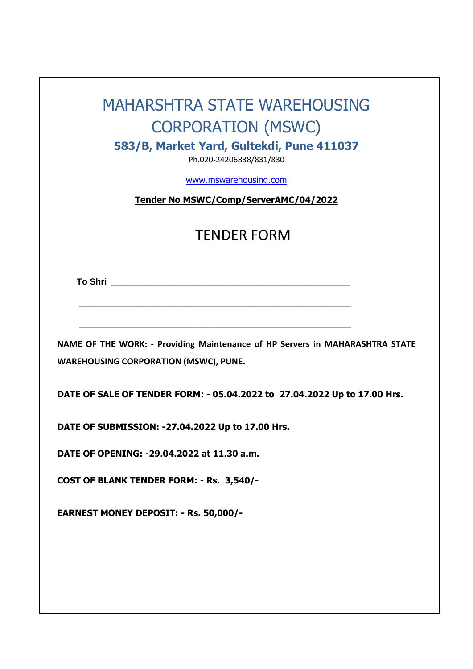# MAHARSHTRA STATE WAREHOUSING CORPORATION (MSWC)

**583/B, Market Yard, Gultekdi, Pune 411037**

Ph.020-24206838/831/830

[www.mswarehousing.com](http://www.mswarehousing.com/)

**Tender No MSWC/Comp/ServerAMC/04/2022**

# TENDER FORM

 **To Shri** \_\_\_\_\_\_\_\_\_\_\_\_\_\_\_\_\_\_\_\_\_\_\_\_\_\_\_\_\_\_\_\_\_\_\_\_\_\_\_\_\_\_\_\_\_\_\_\_\_

**NAME OF THE WORK: - Providing Maintenance of HP Servers in MAHARASHTRA STATE WAREHOUSING CORPORATION (MSWC), PUNE.**

\_\_\_\_\_\_\_\_\_\_\_\_\_\_\_\_\_\_\_\_\_\_\_\_\_\_\_\_\_\_\_\_\_\_\_\_\_\_\_\_\_\_\_\_\_\_\_\_\_\_\_\_\_\_\_\_

\_\_\_\_\_\_\_\_\_\_\_\_\_\_\_\_\_\_\_\_\_\_\_\_\_\_\_\_\_\_\_\_\_\_\_\_\_\_\_\_\_\_\_\_\_\_\_\_\_\_\_\_\_\_\_\_

**DATE OF SALE OF TENDER FORM: - 05.04.2022 to 27.04.2022 Up to 17.00 Hrs.**

**DATE OF SUBMISSION: -27.04.2022 Up to 17.00 Hrs.**

**DATE OF OPENING: -29.04.2022 at 11.30 a.m.**

**COST OF BLANK TENDER FORM: - Rs. 3,540/-**

**EARNEST MONEY DEPOSIT: - Rs. 50,000/-**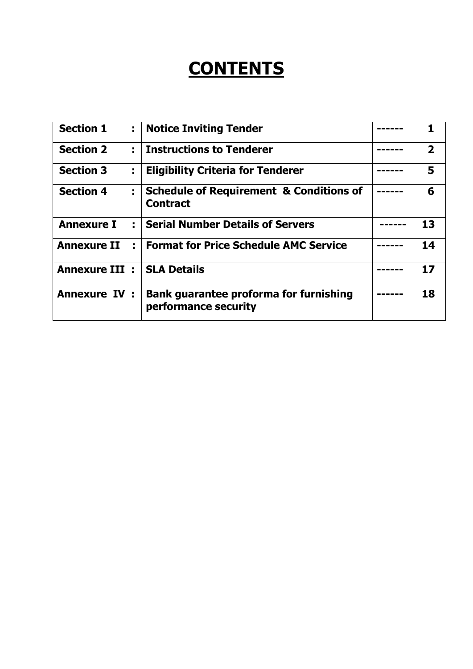# **CONTENTS**

| <b>Section 1</b>     | ÷. | <b>Notice Inviting Tender</b>                                         |                         |
|----------------------|----|-----------------------------------------------------------------------|-------------------------|
| <b>Section 2</b>     | ÷  | <b>Instructions to Tenderer</b>                                       | $\overline{\mathbf{2}}$ |
| <b>Section 3</b>     | t, | <b>Eligibility Criteria for Tenderer</b>                              | 5                       |
| <b>Section 4</b>     | ÷. | <b>Schedule of Requirement &amp; Conditions of</b><br><b>Contract</b> | 6                       |
| <b>Annexure I</b>    | ÷  | <b>Serial Number Details of Servers</b>                               | 13                      |
| <b>Annexure II</b>   | Ē  | <b>Format for Price Schedule AMC Service</b>                          | 14                      |
| <b>Annexure III:</b> |    | <b>SLA Details</b>                                                    | 17                      |
| <b>Annexure IV:</b>  |    | <b>Bank guarantee proforma for furnishing</b><br>performance security | 18                      |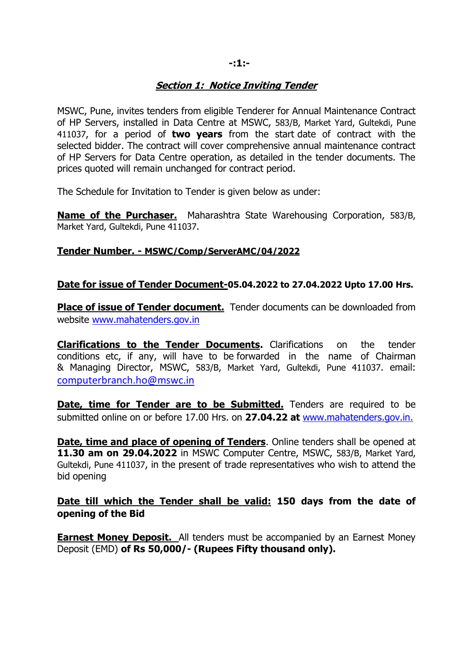#### **-:1:-**

#### **Section 1: Notice Inviting Tender**

MSWC, Pune, invites tenders from eligible Tenderer for Annual Maintenance Contract of HP Servers, installed in Data Centre at MSWC, 583/B, Market Yard, Gultekdi, Pune 411037, for a period of **two years** from the start date of contract with the selected bidder. The contract will cover comprehensive annual maintenance contract of HP Servers for Data Centre operation, as detailed in the tender documents. The prices quoted will remain unchanged for contract period.

The Schedule for Invitation to Tender is given below as under:

**Name of the Purchaser.** Maharashtra State Warehousing Corporation, 583/B, Market Yard, Gultekdi, Pune 411037.

#### **Tender Number. - MSWC/Comp/ServerAMC/04/2022**

#### **Date for issue of Tender Document-05.04.2022 to 27.04.2022 Upto 17.00 Hrs.**

**Place of issue of Tender document.** Tender documents can be downloaded from website www.mahatenders.gov.in

**Clarifications to the Tender Documents.** Clarifications on the tender conditions etc, if any, will have to be forwarded in the name of Chairman & Managing Director, MSWC, 583/B, Market Yard, Gultekdi, Pune 411037. email: [computerbranch.ho@mswc.in](mailto:computerbranch.ho@mswc.in)

**Date, time for Tender are to be Submitted.** Tenders are required to be submitted online on or before 17.00 Hrs. on **27.04.22 at** www.mahatenders.gov.in.

**Date, time and place of opening of Tenders**. Online tenders shall be opened at **11.30 am on 29.04.2022** in MSWC Computer Centre, MSWC, 583/B, Market Yard, Gultekdi, Pune 411037, in the present of trade representatives who wish to attend the bid opening

#### **Date till which the Tender shall be valid: 150 days from the date of opening of the Bid**

**Earnest Money Deposit.** All tenders must be accompanied by an Earnest Money Deposit (EMD) **of Rs 50,000/- (Rupees Fifty thousand only).**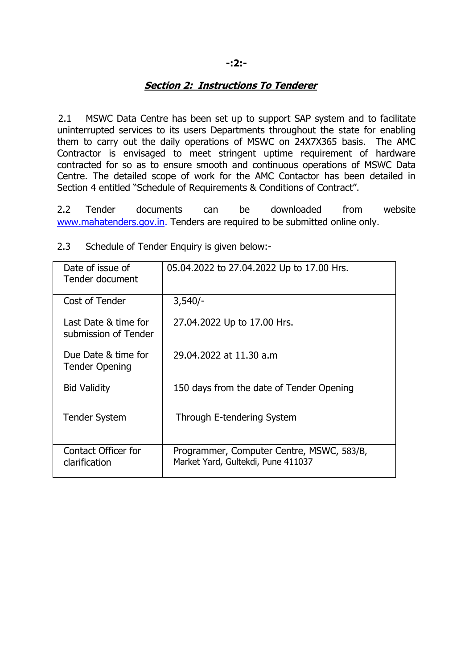#### **-:2:-**

#### **Section 2: Instructions To Tenderer**

2.1 MSWC Data Centre has been set up to support SAP system and to facilitate uninterrupted services to its users Departments throughout the state for enabling them to carry out the daily operations of MSWC on 24X7X365 basis. The AMC Contractor is envisaged to meet stringent uptime requirement of hardware contracted for so as to ensure smooth and continuous operations of MSWC Data Centre. The detailed scope of work for the AMC Contactor has been detailed in Section 4 entitled "Schedule of Requirements & Conditions of Contract".

2.2 Tender documents can be downloaded from website [www.mahatenders.gov.in.](http://www.mahatenders.gov.in/) Tenders are required to be submitted online only.

| Date of issue of<br>Tender document          | 05.04.2022 to 27.04.2022 Up to 17.00 Hrs.                                       |  |  |  |  |
|----------------------------------------------|---------------------------------------------------------------------------------|--|--|--|--|
| Cost of Tender                               | $3,540/-$                                                                       |  |  |  |  |
| Last Date & time for<br>submission of Tender | 27.04.2022 Up to 17.00 Hrs.                                                     |  |  |  |  |
| Due Date & time for<br><b>Tender Opening</b> | 29.04.2022 at 11.30 a.m                                                         |  |  |  |  |
| <b>Bid Validity</b>                          | 150 days from the date of Tender Opening                                        |  |  |  |  |
| <b>Tender System</b>                         | Through E-tendering System                                                      |  |  |  |  |
| Contact Officer for<br>clarification         | Programmer, Computer Centre, MSWC, 583/B,<br>Market Yard, Gultekdi, Pune 411037 |  |  |  |  |

2.3 Schedule of Tender Enquiry is given below:-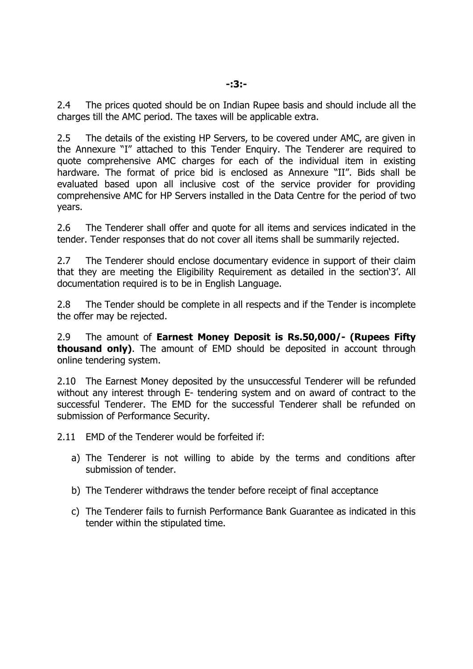2.4 The prices quoted should be on Indian Rupee basis and should include all the charges till the AMC period. The taxes will be applicable extra.

2.5 The details of the existing HP Servers, to be covered under AMC, are given in the Annexure "I" attached to this Tender Enquiry. The Tenderer are required to quote comprehensive AMC charges for each of the individual item in existing hardware. The format of price bid is enclosed as Annexure "II". Bids shall be evaluated based upon all inclusive cost of the service provider for providing comprehensive AMC for HP Servers installed in the Data Centre for the period of two years.

2.6 The Tenderer shall offer and quote for all items and services indicated in the tender. Tender responses that do not cover all items shall be summarily rejected.

2.7 The Tenderer should enclose documentary evidence in support of their claim that they are meeting the Eligibility Requirement as detailed in the section'3'. All documentation required is to be in English Language.

2.8 The Tender should be complete in all respects and if the Tender is incomplete the offer may be rejected.

2.9 The amount of **Earnest Money Deposit is Rs.50,000/- (Rupees Fifty thousand only)**. The amount of EMD should be deposited in account through online tendering system.

2.10 The Earnest Money deposited by the unsuccessful Tenderer will be refunded without any interest through E- tendering system and on award of contract to the successful Tenderer. The EMD for the successful Tenderer shall be refunded on submission of Performance Security.

2.11 EMD of the Tenderer would be forfeited if:

- a) The Tenderer is not willing to abide by the terms and conditions after submission of tender.
- b) The Tenderer withdraws the tender before receipt of final acceptance
- c) The Tenderer fails to furnish Performance Bank Guarantee as indicated in this tender within the stipulated time.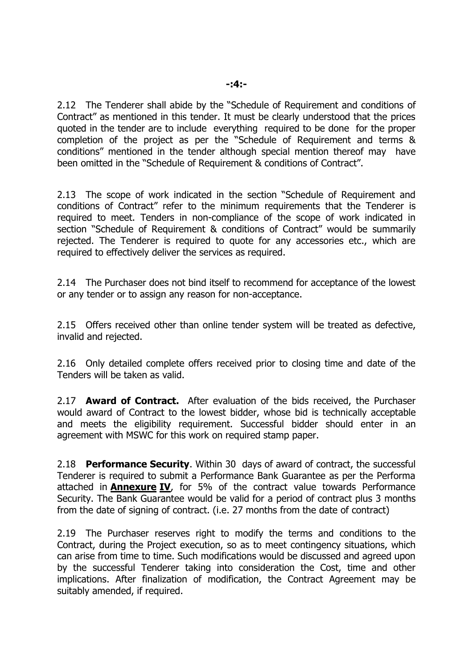2.12 The Tenderer shall abide by the "Schedule of Requirement and conditions of Contract" as mentioned in this tender. It must be clearly understood that the prices quoted in the tender are to include everything required to be done for the proper completion of the project as per the "Schedule of Requirement and terms & conditions" mentioned in the tender although special mention thereof may have been omitted in the "Schedule of Requirement & conditions of Contract".

2.13 The scope of work indicated in the section "Schedule of Requirement and conditions of Contract" refer to the minimum requirements that the Tenderer is required to meet. Tenders in non-compliance of the scope of work indicated in section "Schedule of Requirement & conditions of Contract" would be summarily rejected. The Tenderer is required to quote for any accessories etc., which are required to effectively deliver the services as required.

2.14 The Purchaser does not bind itself to recommend for acceptance of the lowest or any tender or to assign any reason for non-acceptance.

2.15 Offers received other than online tender system will be treated as defective, invalid and rejected.

2.16 Only detailed complete offers received prior to closing time and date of the Tenders will be taken as valid.

2.17 **Award of Contract.** After evaluation of the bids received, the Purchaser would award of Contract to the lowest bidder, whose bid is technically acceptable and meets the eligibility requirement. Successful bidder should enter in an agreement with MSWC for this work on required stamp paper.

2.18 **Performance Security**. Within 30 days of award of contract, the successful Tenderer is required to submit a Performance Bank Guarantee as per the Performa attached in **Annexure IV**, for 5% of the contract value towards Performance Security. The Bank Guarantee would be valid for a period of contract plus 3 months from the date of signing of contract. (i.e. 27 months from the date of contract)

2.19 The Purchaser reserves right to modify the terms and conditions to the Contract, during the Project execution, so as to meet contingency situations, which can arise from time to time. Such modifications would be discussed and agreed upon by the successful Tenderer taking into consideration the Cost, time and other implications. After finalization of modification, the Contract Agreement may be suitably amended, if required.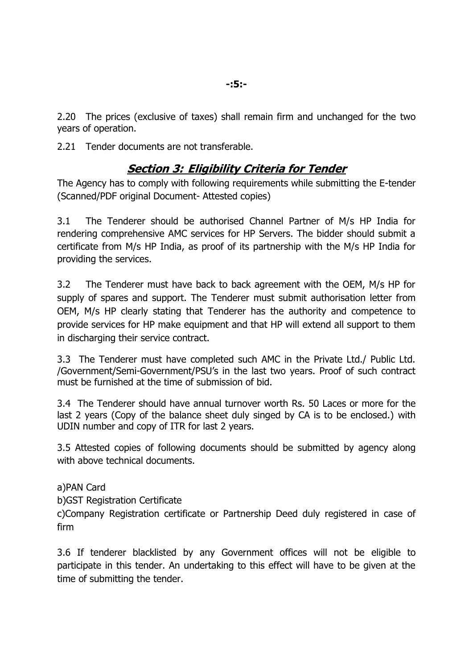2.20 The prices (exclusive of taxes) shall remain firm and unchanged for the two years of operation.

2.21 Tender documents are not transferable.

### **Section 3: Eligibility Criteria for Tender**

The Agency has to comply with following requirements while submitting the E-tender (Scanned/PDF original Document- Attested copies)

3.1 The Tenderer should be authorised Channel Partner of M/s HP India for rendering comprehensive AMC services for HP Servers. The bidder should submit a certificate from M/s HP India, as proof of its partnership with the M/s HP India for providing the services.

3.2 The Tenderer must have back to back agreement with the OEM, M/s HP for supply of spares and support. The Tenderer must submit authorisation letter from OEM, M/s HP clearly stating that Tenderer has the authority and competence to provide services for HP make equipment and that HP will extend all support to them in discharging their service contract.

3.3 The Tenderer must have completed such AMC in the Private Ltd./ Public Ltd. /Government/Semi-Government/PSU's in the last two years. Proof of such contract must be furnished at the time of submission of bid.

3.4 The Tenderer should have annual turnover worth Rs. 50 Laces or more for the last 2 years (Copy of the balance sheet duly singed by CA is to be enclosed.) with UDIN number and copy of ITR for last 2 years.

3.5 Attested copies of following documents should be submitted by agency along with above technical documents.

a)PAN Card

b)GST Registration Certificate

c)Company Registration certificate or Partnership Deed duly registered in case of firm

3.6 If tenderer blacklisted by any Government offices will not be eligible to participate in this tender. An undertaking to this effect will have to be given at the time of submitting the tender.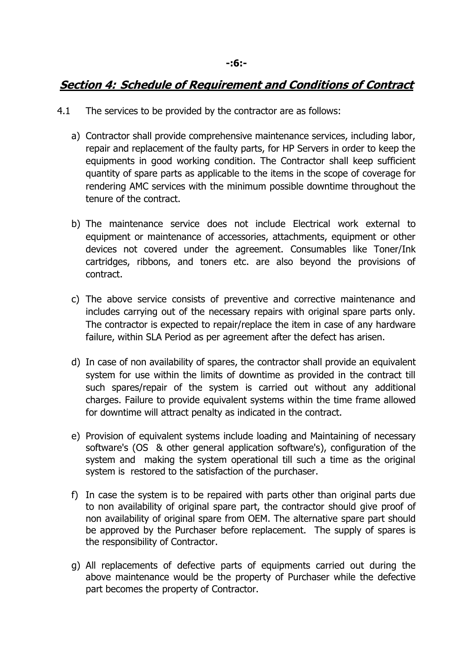### **Section 4: Schedule of Requirement and Conditions of Contract**

- 4.1 The services to be provided by the contractor are as follows:
	- a) Contractor shall provide comprehensive maintenance services, including labor, repair and replacement of the faulty parts, for HP Servers in order to keep the equipments in good working condition. The Contractor shall keep sufficient quantity of spare parts as applicable to the items in the scope of coverage for rendering AMC services with the minimum possible downtime throughout the tenure of the contract.
	- b) The maintenance service does not include Electrical work external to equipment or maintenance of accessories, attachments, equipment or other devices not covered under the agreement. Consumables like Toner/Ink cartridges, ribbons, and toners etc. are also beyond the provisions of contract.
	- c) The above service consists of preventive and corrective maintenance and includes carrying out of the necessary repairs with original spare parts only. The contractor is expected to repair/replace the item in case of any hardware failure, within SLA Period as per agreement after the defect has arisen.
	- d) In case of non availability of spares, the contractor shall provide an equivalent system for use within the limits of downtime as provided in the contract till such spares/repair of the system is carried out without any additional charges. Failure to provide equivalent systems within the time frame allowed for downtime will attract penalty as indicated in the contract.
	- e) Provision of equivalent systems include loading and Maintaining of necessary software's (OS & other general application software's), configuration of the system and making the system operational till such a time as the original system is restored to the satisfaction of the purchaser.
	- f) In case the system is to be repaired with parts other than original parts due to non availability of original spare part, the contractor should give proof of non availability of original spare from OEM. The alternative spare part should be approved by the Purchaser before replacement. The supply of spares is the responsibility of Contractor.
	- g) All replacements of defective parts of equipments carried out during the above maintenance would be the property of Purchaser while the defective part becomes the property of Contractor.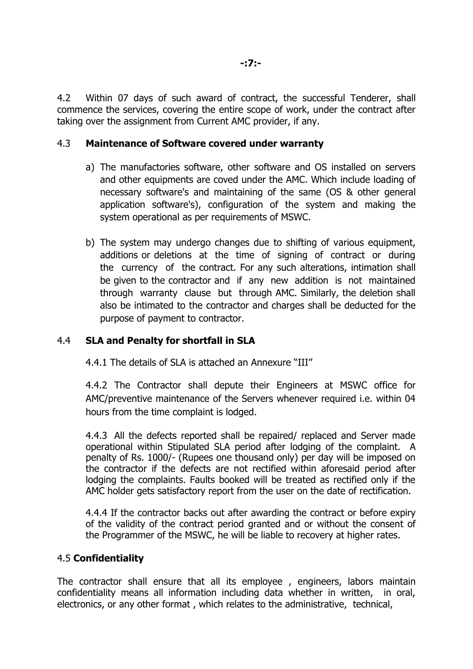4.2 Within 07 days of such award of contract, the successful Tenderer, shall commence the services, covering the entire scope of work, under the contract after taking over the assignment from Current AMC provider, if any.

#### 4.3 **Maintenance of Software covered under warranty**

- a) The manufactories software, other software and OS installed on servers and other equipments are coved under the AMC. Which include loading of necessary software's and maintaining of the same (OS & other general application software's), configuration of the system and making the system operational as per requirements of MSWC.
- b) The system may undergo changes due to shifting of various equipment, additions or deletions at the time of signing of contract or during the currency of the contract. For any such alterations, intimation shall be given to the contractor and if any new addition is not maintained through warranty clause but through AMC. Similarly, the deletion shall also be intimated to the contractor and charges shall be deducted for the purpose of payment to contractor.

#### 4.4 **SLA and Penalty for shortfall in SLA**

4.4.1 The details of SLA is attached an Annexure "III"

4.4.2 The Contractor shall depute their Engineers at MSWC office for AMC/preventive maintenance of the Servers whenever required i.e. within 04 hours from the time complaint is lodged.

4.4.3 All the defects reported shall be repaired/ replaced and Server made operational within Stipulated SLA period after lodging of the complaint. A penalty of Rs. 1000/- (Rupees one thousand only) per day will be imposed on the contractor if the defects are not rectified within aforesaid period after lodging the complaints. Faults booked will be treated as rectified only if the AMC holder gets satisfactory report from the user on the date of rectification.

4.4.4 If the contractor backs out after awarding the contract or before expiry of the validity of the contract period granted and or without the consent of the Programmer of the MSWC, he will be liable to recovery at higher rates.

#### 4.5 **Confidentiality**

The contractor shall ensure that all its employee , engineers, labors maintain confidentiality means all information including data whether in written, in oral, electronics, or any other format , which relates to the administrative, technical,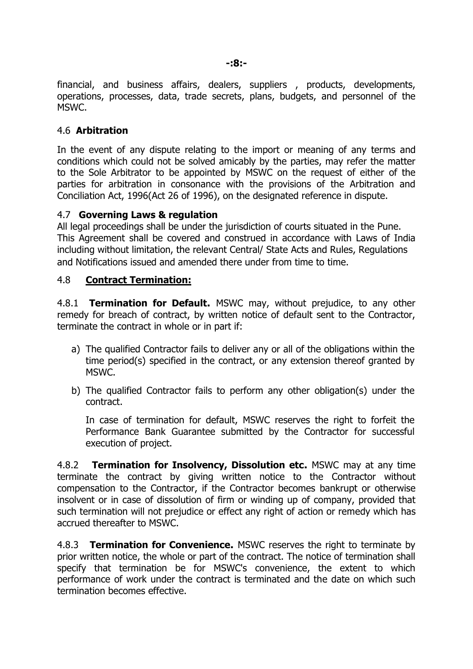financial, and business affairs, dealers, suppliers , products, developments, operations, processes, data, trade secrets, plans, budgets, and personnel of the MSWC.

#### 4.6 **Arbitration**

In the event of any dispute relating to the import or meaning of any terms and conditions which could not be solved amicably by the parties, may refer the matter to the Sole Arbitrator to be appointed by MSWC on the request of either of the parties for arbitration in consonance with the provisions of the Arbitration and Conciliation Act, 1996(Act 26 of 1996), on the designated reference in dispute.

#### 4.7 **Governing Laws & regulation**

All legal proceedings shall be under the jurisdiction of courts situated in the Pune. This Agreement shall be covered and construed in accordance with Laws of India including without limitation, the relevant Central/ State Acts and Rules, Regulations and Notifications issued and amended there under from time to time.

#### 4.8 **Contract Termination:**

4.8.1 **Termination for Default.** MSWC may, without prejudice, to any other remedy for breach of contract, by written notice of default sent to the Contractor, terminate the contract in whole or in part if:

- a) The qualified Contractor fails to deliver any or all of the obligations within the time period(s) specified in the contract, or any extension thereof granted by MSWC.
- b) The qualified Contractor fails to perform any other obligation(s) under the contract.

In case of termination for default, MSWC reserves the right to forfeit the Performance Bank Guarantee submitted by the Contractor for successful execution of project.

4.8.2 **Termination for Insolvency, Dissolution etc.** MSWC may at any time terminate the contract by giving written notice to the Contractor without compensation to the Contractor, if the Contractor becomes bankrupt or otherwise insolvent or in case of dissolution of firm or winding up of company, provided that such termination will not prejudice or effect any right of action or remedy which has accrued thereafter to MSWC.

4.8.3 **Termination for Convenience.** MSWC reserves the right to terminate by prior written notice, the whole or part of the contract. The notice of termination shall specify that termination be for MSWC's convenience, the extent to which performance of work under the contract is terminated and the date on which such termination becomes effective.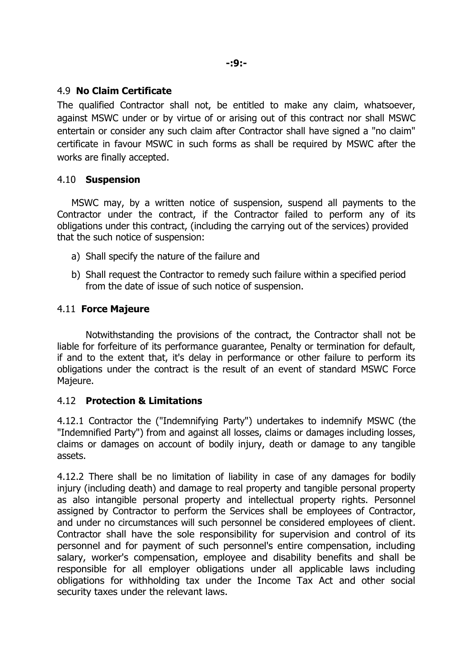#### 4.9 **No Claim Certificate**

The qualified Contractor shall not, be entitled to make any claim, whatsoever, against MSWC under or by virtue of or arising out of this contract nor shall MSWC entertain or consider any such claim after Contractor shall have signed a "no claim" certificate in favour MSWC in such forms as shall be required by MSWC after the works are finally accepted.

#### 4.10 **Suspension**

MSWC may, by a written notice of suspension, suspend all payments to the Contractor under the contract, if the Contractor failed to perform any of its obligations under this contract, (including the carrying out of the services) provided that the such notice of suspension:

- a) Shall specify the nature of the failure and
- b) Shall request the Contractor to remedy such failure within a specified period from the date of issue of such notice of suspension.

#### 4.11 **Force Majeure**

Notwithstanding the provisions of the contract, the Contractor shall not be liable for forfeiture of its performance guarantee, Penalty or termination for default, if and to the extent that, it's delay in performance or other failure to perform its obligations under the contract is the result of an event of standard MSWC Force Majeure.

#### 4.12 **Protection & Limitations**

4.12.1 Contractor the ("Indemnifying Party") undertakes to indemnify MSWC (the "Indemnified Party") from and against all losses, claims or damages including losses, claims or damages on account of bodily injury, death or damage to any tangible assets.

4.12.2 There shall be no limitation of liability in case of any damages for bodily injury (including death) and damage to real property and tangible personal property as also intangible personal property and intellectual property rights. Personnel assigned by Contractor to perform the Services shall be employees of Contractor, and under no circumstances will such personnel be considered employees of client. Contractor shall have the sole responsibility for supervision and control of its personnel and for payment of such personnel's entire compensation, including salary, worker's compensation, employee and disability benefits and shall be responsible for all employer obligations under all applicable laws including obligations for withholding tax under the Income Tax Act and other social security taxes under the relevant laws.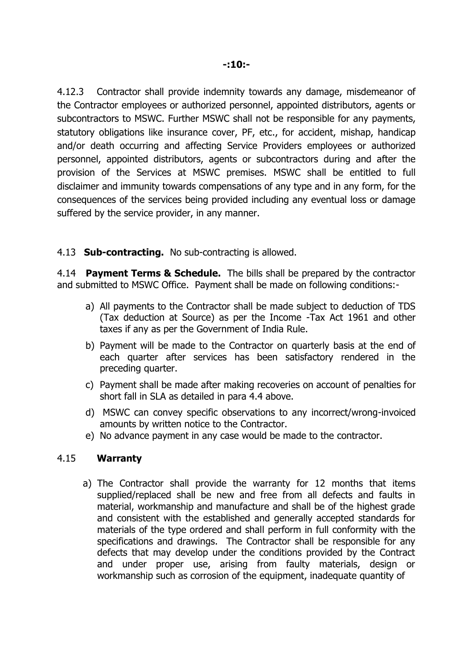4.12.3 Contractor shall provide indemnity towards any damage, misdemeanor of the Contractor employees or authorized personnel, appointed distributors, agents or subcontractors to MSWC. Further MSWC shall not be responsible for any payments, statutory obligations like insurance cover, PF, etc., for accident, mishap, handicap and/or death occurring and affecting Service Providers employees or authorized personnel, appointed distributors, agents or subcontractors during and after the provision of the Services at MSWC premises. MSWC shall be entitled to full disclaimer and immunity towards compensations of any type and in any form, for the consequences of the services being provided including any eventual loss or damage suffered by the service provider, in any manner.

#### 4.13 **Sub-contracting.** No sub-contracting is allowed.

4.14 **Payment Terms & Schedule.** The bills shall be prepared by the contractor and submitted to MSWC Office. Payment shall be made on following conditions:-

- a) All payments to the Contractor shall be made subject to deduction of TDS (Tax deduction at Source) as per the Income -Tax Act 1961 and other taxes if any as per the Government of India Rule.
- b) Payment will be made to the Contractor on quarterly basis at the end of each quarter after services has been satisfactory rendered in the preceding quarter.
- c) Payment shall be made after making recoveries on account of penalties for short fall in SLA as detailed in para 4.4 above.
- d) MSWC can convey specific observations to any incorrect/wrong-invoiced amounts by written notice to the Contractor.
- e) No advance payment in any case would be made to the contractor.

#### 4.15 **Warranty**

a) The Contractor shall provide the warranty for 12 months that items supplied/replaced shall be new and free from all defects and faults in material, workmanship and manufacture and shall be of the highest grade and consistent with the established and generally accepted standards for materials of the type ordered and shall perform in full conformity with the specifications and drawings. The Contractor shall be responsible for any defects that may develop under the conditions provided by the Contract and under proper use, arising from faulty materials, design or workmanship such as corrosion of the equipment, inadequate quantity of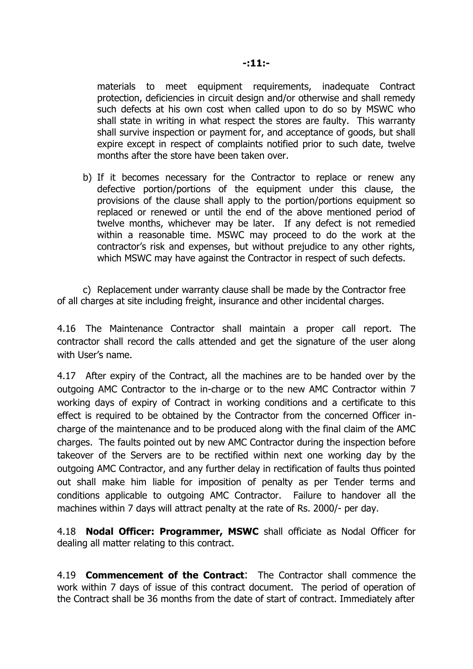materials to meet equipment requirements, inadequate Contract protection, deficiencies in circuit design and/or otherwise and shall remedy such defects at his own cost when called upon to do so by MSWC who shall state in writing in what respect the stores are faulty. This warranty shall survive inspection or payment for, and acceptance of goods, but shall expire except in respect of complaints notified prior to such date, twelve months after the store have been taken over.

b) If it becomes necessary for the Contractor to replace or renew any defective portion/portions of the equipment under this clause, the provisions of the clause shall apply to the portion/portions equipment so replaced or renewed or until the end of the above mentioned period of twelve months, whichever may be later. If any defect is not remedied within a reasonable time. MSWC may proceed to do the work at the contractor's risk and expenses, but without prejudice to any other rights, which MSWC may have against the Contractor in respect of such defects.

c) Replacement under warranty clause shall be made by the Contractor free of all charges at site including freight, insurance and other incidental charges.

4.16 The Maintenance Contractor shall maintain a proper call report. The contractor shall record the calls attended and get the signature of the user along with User's name.

4.17 After expiry of the Contract, all the machines are to be handed over by the outgoing AMC Contractor to the in-charge or to the new AMC Contractor within 7 working days of expiry of Contract in working conditions and a certificate to this effect is required to be obtained by the Contractor from the concerned Officer incharge of the maintenance and to be produced along with the final claim of the AMC charges. The faults pointed out by new AMC Contractor during the inspection before takeover of the Servers are to be rectified within next one working day by the outgoing AMC Contractor, and any further delay in rectification of faults thus pointed out shall make him liable for imposition of penalty as per Tender terms and conditions applicable to outgoing AMC Contractor. Failure to handover all the machines within 7 days will attract penalty at the rate of Rs. 2000/- per day.

4.18 **Nodal Officer: Programmer, MSWC** shall officiate as Nodal Officer for dealing all matter relating to this contract.

4.19 **Commencement of the Contract**: The Contractor shall commence the work within 7 days of issue of this contract document. The period of operation of the Contract shall be 36 months from the date of start of contract. Immediately after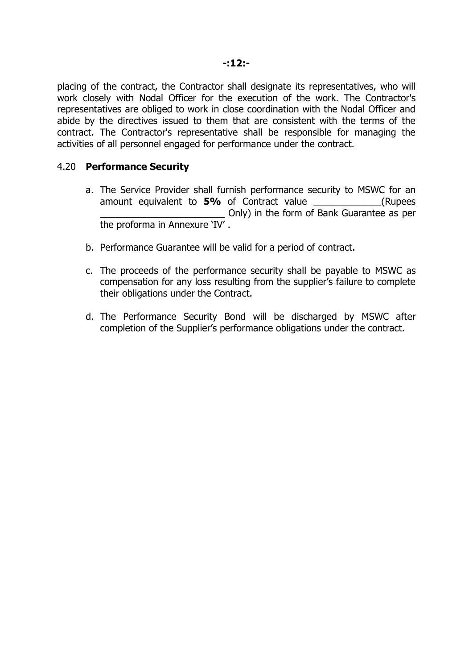placing of the contract, the Contractor shall designate its representatives, who will work closely with Nodal Officer for the execution of the work. The Contractor's representatives are obliged to work in close coordination with the Nodal Officer and abide by the directives issued to them that are consistent with the terms of the contract. The Contractor's representative shall be responsible for managing the activities of all personnel engaged for performance under the contract.

#### 4.20 **Performance Security**

- a. The Service Provider shall furnish performance security to MSWC for an amount equivalent to **5%** of Contract value \_\_\_\_\_\_\_\_\_\_\_\_\_(Rupees \_\_\_\_\_\_\_\_\_\_\_\_\_\_\_\_\_\_\_\_\_\_\_\_ Only) in the form of Bank Guarantee as per the proforma in Annexure 'IV' .
- b. Performance Guarantee will be valid for a period of contract.
- c. The proceeds of the performance security shall be payable to MSWC as compensation for any loss resulting from the supplier's failure to complete their obligations under the Contract.
- d. The Performance Security Bond will be discharged by MSWC after completion of the Supplier's performance obligations under the contract.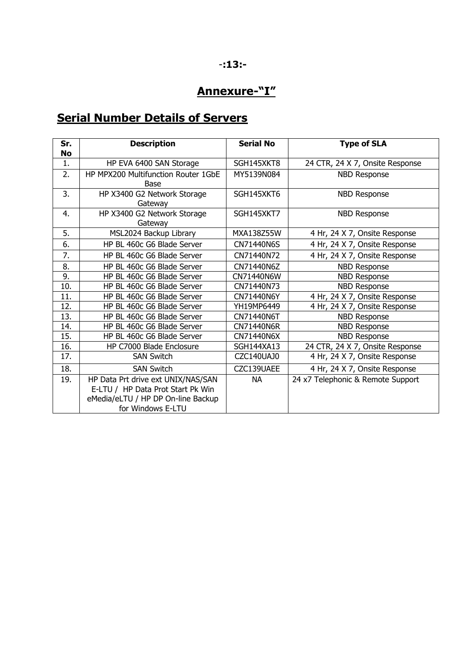### **Annexure-"I"**

## **Serial Number Details of Servers**

| Sr.<br>No | <b>Description</b>                                                                                                                 | <b>Serial No</b>  | <b>Type of SLA</b>                |
|-----------|------------------------------------------------------------------------------------------------------------------------------------|-------------------|-----------------------------------|
| 1.        | HP EVA 6400 SAN Storage                                                                                                            | SGH145XKT8        | 24 CTR, 24 X 7, Onsite Response   |
| 2.        | HP MPX200 Multifunction Router 1GbE<br>Base                                                                                        | MY5139N084        | <b>NBD Response</b>               |
| 3.        | HP X3400 G2 Network Storage<br>Gateway                                                                                             | SGH145XKT6        | <b>NBD Response</b>               |
| 4.        | HP X3400 G2 Network Storage<br>Gateway                                                                                             | SGH145XKT7        | <b>NBD Response</b>               |
| 5.        | MSL2024 Backup Library                                                                                                             | MXA138Z55W        | 4 Hr, 24 X 7, Onsite Response     |
| 6.        | HP BL 460c G6 Blade Server                                                                                                         | CN71440N6S        | 4 Hr, 24 X 7, Onsite Response     |
| 7.        | HP BL 460c G6 Blade Server                                                                                                         | CN71440N72        | 4 Hr, 24 X 7, Onsite Response     |
| 8.        | HP BL 460c G6 Blade Server                                                                                                         | CN71440N6Z        | <b>NBD Response</b>               |
| 9.        | HP BL 460c G6 Blade Server                                                                                                         | CN71440N6W        | <b>NBD Response</b>               |
| 10.       | HP BL 460c G6 Blade Server                                                                                                         | CN71440N73        | <b>NBD Response</b>               |
| 11.       | HP BL 460c G6 Blade Server                                                                                                         | CN71440N6Y        | 4 Hr, 24 X 7, Onsite Response     |
| 12.       | HP BL 460c G6 Blade Server                                                                                                         | YH19MP6449        | 4 Hr, 24 X 7, Onsite Response     |
| 13.       | HP BL 460c G6 Blade Server                                                                                                         | CN71440N6T        | <b>NBD Response</b>               |
| 14.       | HP BL 460c G6 Blade Server                                                                                                         | CN71440N6R        | <b>NBD Response</b>               |
| 15.       | HP BL 460c G6 Blade Server                                                                                                         | CN71440N6X        | <b>NBD Response</b>               |
| 16.       | HP C7000 Blade Enclosure                                                                                                           | <b>SGH144XA13</b> | 24 CTR, 24 X 7, Onsite Response   |
| 17.       | <b>SAN Switch</b>                                                                                                                  | CZC140UAJ0        | 4 Hr, 24 X 7, Onsite Response     |
| 18.       | <b>SAN Switch</b>                                                                                                                  | CZC139UAEE        | 4 Hr, 24 X 7, Onsite Response     |
| 19.       | HP Data Prt drive ext UNIX/NAS/SAN<br>E-LTU / HP Data Prot Start Pk Win<br>eMedia/eLTU / HP DP On-line Backup<br>for Windows E-LTU | NA.               | 24 x7 Telephonic & Remote Support |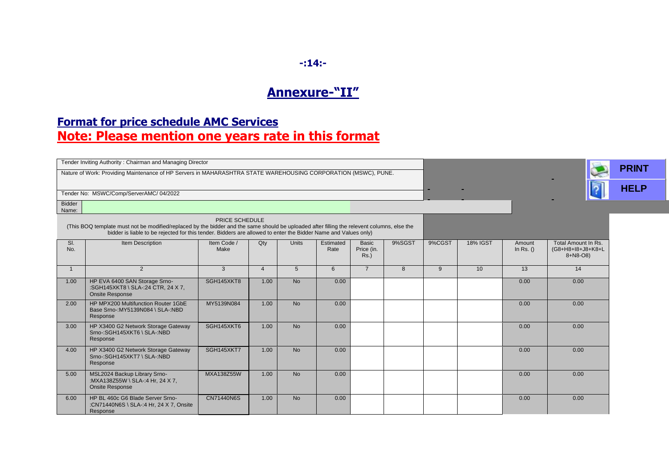# **-:14:-**

## **Annexure-"II"**

### **Format for price schedule AMC Services Note: Please mention one years rate in this format**

| Tender Inviting Authority: Chairman and Managing Director                                                                                                                                                                                                                       |                                                                                               |                     |                |              |                   |                                       |        |        |                 | <b>PRINT</b>          |                                                      |  |
|---------------------------------------------------------------------------------------------------------------------------------------------------------------------------------------------------------------------------------------------------------------------------------|-----------------------------------------------------------------------------------------------|---------------------|----------------|--------------|-------------------|---------------------------------------|--------|--------|-----------------|-----------------------|------------------------------------------------------|--|
| Nature of Work: Providing Maintenance of HP Servers in MAHARASHTRA STATE WAREHOUSING CORPORATION (MSWC), PUNE.                                                                                                                                                                  |                                                                                               |                     |                |              |                   |                                       |        |        |                 |                       |                                                      |  |
| Tender No: MSWC/Comp/ServerAMC/04/2022                                                                                                                                                                                                                                          |                                                                                               |                     |                |              |                   |                                       |        |        |                 |                       | <b>HELP</b>                                          |  |
| <b>Bidder</b><br>Name:                                                                                                                                                                                                                                                          |                                                                                               |                     |                |              |                   |                                       |        |        |                 |                       |                                                      |  |
| PRICE SCHEDULE<br>(This BOQ template must not be modified/replaced by the bidder and the same should be uploaded after filling the relevent columns, else the<br>bidder is liable to be rejected for this tender. Bidders are allowed to enter the Bidder Name and Values only) |                                                                                               |                     |                |              |                   |                                       |        |        |                 |                       |                                                      |  |
| SI.<br>No.                                                                                                                                                                                                                                                                      | Item Description                                                                              | Item Code /<br>Make | Qty            | <b>Units</b> | Estimated<br>Rate | <b>Basic</b><br>Price (in.<br>$Rs.$ ) | 9%SGST | 9%CGST | <b>18% IGST</b> | Amount<br>In Rs. $()$ | Total Amount In Rs.<br>(G8+H8+I8+J8+K8+L<br>8+N8-O8) |  |
| $\overline{1}$                                                                                                                                                                                                                                                                  | 2                                                                                             | 3                   | $\overline{4}$ | 5            | 6                 | $\overline{7}$                        | 8      | 9      | 10              | 13                    | 14                                                   |  |
| 1.00                                                                                                                                                                                                                                                                            | HP EVA 6400 SAN Storage Srno-<br>:SGH145XKT8 \ SLA-:24 CTR, 24 X 7,<br><b>Onsite Response</b> | SGH145XKT8          | 1.00           | <b>No</b>    | 0.00              |                                       |        |        |                 | 0.00                  | 0.00                                                 |  |
| 2.00                                                                                                                                                                                                                                                                            | HP MPX200 Multifunction Router 1GbE<br>Base Srno-: MY5139N084 \ SLA-: NBD<br>Response         | MY5139N084          | 1.00           | <b>No</b>    | 0.00              |                                       |        |        |                 | 0.00                  | 0.00                                                 |  |
| 3.00                                                                                                                                                                                                                                                                            | HP X3400 G2 Network Storage Gateway<br>Srno-:SGH145XKT6 \ SLA-:NBD<br>Response                | SGH145XKT6          | 1.00           | <b>No</b>    | 0.00              |                                       |        |        |                 | 0.00                  | 0.00                                                 |  |
| 4.00                                                                                                                                                                                                                                                                            | HP X3400 G2 Network Storage Gateway<br>Srno-:SGH145XKT7 \ SLA-:NBD<br>Response                | SGH145XKT7          | 1.00           | <b>No</b>    | 0.00              |                                       |        |        |                 | 0.00                  | 0.00                                                 |  |
| 5.00                                                                                                                                                                                                                                                                            | MSL2024 Backup Library Srno-<br>:MXA138Z55W \ SLA-:4 Hr, 24 X 7,<br><b>Onsite Response</b>    | <b>MXA138Z55W</b>   | 1.00           | <b>No</b>    | 0.00              |                                       |        |        |                 | 0.00                  | 0.00                                                 |  |
| 6.00                                                                                                                                                                                                                                                                            | HP BL 460c G6 Blade Server Srno-<br>:CN71440N6S \ SLA-:4 Hr, 24 X 7, Onsite<br>Response       | <b>CN71440N6S</b>   | 1.00           | <b>No</b>    | 0.00              |                                       |        |        |                 | 0.00                  | 0.00                                                 |  |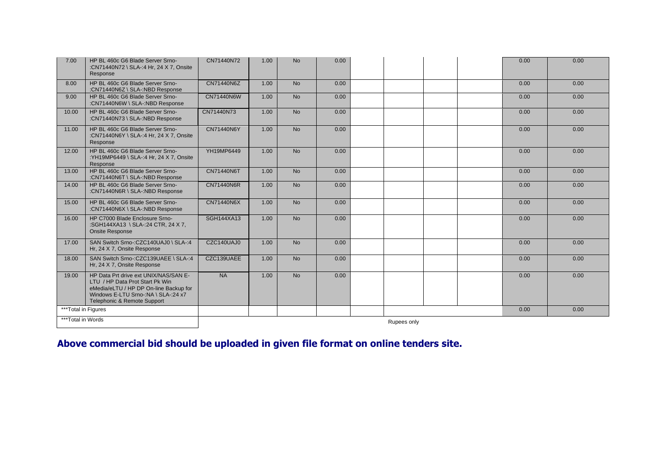| 7.00                | HP BL 460c G6 Blade Server Srno-<br>:CN71440N72 \ SLA-:4 Hr, 24 X 7, Onsite<br>Response                                                                                                  | CN71440N72        | 1.00 | <b>No</b> | 0.00 | 0.00<br>0.00 |  |  |  |  |
|---------------------|------------------------------------------------------------------------------------------------------------------------------------------------------------------------------------------|-------------------|------|-----------|------|--------------|--|--|--|--|
| 8.00                | HP BL 460c G6 Blade Server Srno-<br>:CN71440N6Z \ SLA-:NBD Response                                                                                                                      | CN71440N6Z        | 1.00 | <b>No</b> | 0.00 | 0.00<br>0.00 |  |  |  |  |
| 9.00                | HP BL 460c G6 Blade Server Srno-<br>:CN71440N6W \ SLA-:NBD Response                                                                                                                      | CN71440N6W        | 1.00 | <b>No</b> | 0.00 | 0.00<br>0.00 |  |  |  |  |
| 10.00               | HP BL 460c G6 Blade Server Srno-<br>:CN71440N73 \ SLA-:NBD Response                                                                                                                      | CN71440N73        | 1.00 | <b>No</b> | 0.00 | 0.00<br>0.00 |  |  |  |  |
| 11.00               | HP BL 460c G6 Blade Server Srno-<br>:CN71440N6Y \ SLA-:4 Hr, 24 X 7, Onsite<br>Response                                                                                                  | CN71440N6Y        | 1.00 | <b>No</b> | 0.00 | 0.00<br>0.00 |  |  |  |  |
| 12.00               | HP BL 460c G6 Blade Server Srno-<br>:YH19MP6449 \ SLA-:4 Hr, 24 X 7, Onsite<br>Response                                                                                                  | YH19MP6449        | 1.00 | <b>No</b> | 0.00 | 0.00<br>0.00 |  |  |  |  |
| 13.00               | HP BL 460c G6 Blade Server Srno-<br>:CN71440N6T \ SLA-:NBD Response                                                                                                                      | CN71440N6T        | 1.00 | <b>No</b> | 0.00 | 0.00<br>0.00 |  |  |  |  |
| 14.00               | HP BL 460c G6 Blade Server Srno-<br>:CN71440N6R \ SLA-:NBD Response                                                                                                                      | <b>CN71440N6R</b> | 1.00 | <b>No</b> | 0.00 | 0.00<br>0.00 |  |  |  |  |
| 15.00               | HP BL 460c G6 Blade Server Srno-<br>:CN71440N6X \ SLA-:NBD Response                                                                                                                      | CN71440N6X        | 1.00 | <b>No</b> | 0.00 | 0.00<br>0.00 |  |  |  |  |
| 16.00               | HP C7000 Blade Enclosure Srno-<br>:SGH144XA13 \ SLA-:24 CTR, 24 X 7,<br><b>Onsite Response</b>                                                                                           | <b>SGH144XA13</b> | 1.00 | <b>No</b> | 0.00 | 0.00<br>0.00 |  |  |  |  |
| 17.00               | SAN Switch Srno-:CZC140UAJ0 \ SLA-:4<br>Hr, 24 X 7, Onsite Response                                                                                                                      | CZC140UAJ0        | 1.00 | <b>No</b> | 0.00 | 0.00<br>0.00 |  |  |  |  |
| 18.00               | SAN Switch Srno-:CZC139UAEE \ SLA-:4<br>Hr, 24 X 7, Onsite Response                                                                                                                      | CZC139UAEE        | 1.00 | <b>No</b> | 0.00 | 0.00<br>0.00 |  |  |  |  |
| 19.00               | HP Data Prt drive ext UNIX/NAS/SAN E-<br>LTU / HP Data Prot Start Pk Win<br>eMedia/eLTU / HP DP On-line Backup for<br>Windows E-LTU Srno-:NA \ SLA-:24 x7<br>Telephonic & Remote Support | <b>NA</b>         | 1.00 | <b>No</b> | 0.00 | 0.00<br>0.00 |  |  |  |  |
| ***Total in Figures |                                                                                                                                                                                          |                   |      |           |      | 0.00<br>0.00 |  |  |  |  |
| ***Total in Words   |                                                                                                                                                                                          | Rupees only       |      |           |      |              |  |  |  |  |

### **Above commercial bid should be uploaded in given file format on online tenders site.**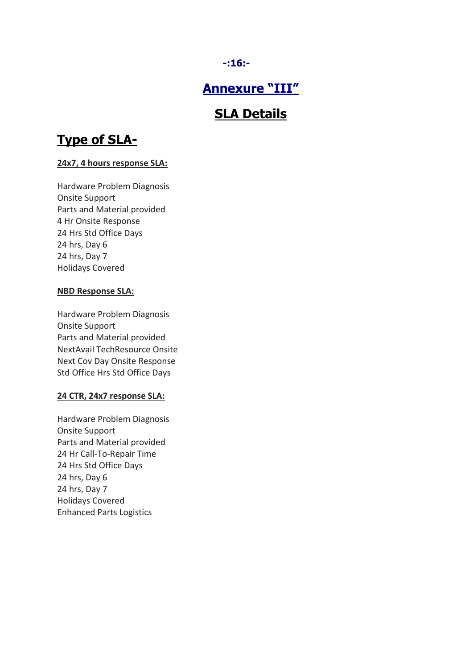#### **-:16:-**

## **Annexure "III"**

## **SLA Details**

# **Type of SLA-**

#### **24x7, 4 hours response SLA:**

Hardware Problem Diagnosis Onsite Support Parts and Material provided 4 Hr Onsite Response 24 Hrs Std Office Days 24 hrs, Day 6 24 hrs, Day 7 Holidays Covered

#### **NBD Response SLA:**

Hardware Problem Diagnosis Onsite Support Parts and Material provided NextAvail TechResource Onsite Next Cov Day Onsite Response Std Office Hrs Std Office Days

#### **24 CTR, 24x7 response SLA:**

Hardware Problem Diagnosis Onsite Support Parts and Material provided 24 Hr Call-To-Repair Time 24 Hrs Std Office Days 24 hrs, Day 6 24 hrs, Day 7 Holidays Covered Enhanced Parts Logistics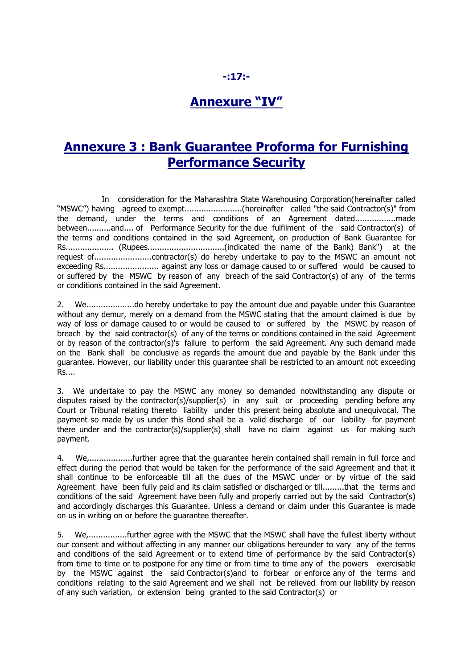### **-:17:-**

### **Annexure "IV"**

### **Annexure 3 : Bank Guarantee Proforma for Furnishing Performance Security**

 In consideration for the Maharashtra State Warehousing Corporation(hereinafter called "MSWC") having agreed to exempt........................(hereinafter called "the said Contractor(s)" from the demand, under the terms and conditions of an Agreement dated.................made between..........and.... of Performance Security for the due fulfilment of the said Contractor(s) of the terms and conditions contained in the said Agreement, on production of Bank Guarantee for Rs.................... (Rupees................................(indicated the name of the Bank) Bank") at the request of........................contractor(s) do hereby undertake to pay to the MSWC an amount not exceeding Rs....................... against any loss or damage caused to or suffered would be caused to or suffered by the MSWC by reason of any breach of the said Contractor(s) of any of the terms or conditions contained in the said Agreement.

2. We....................do hereby undertake to pay the amount due and payable under this Guarantee without any demur, merely on a demand from the MSWC stating that the amount claimed is due by way of loss or damage caused to or would be caused to or suffered by the MSWC by reason of breach by the said contractor(s) of any of the terms or conditions contained in the said Agreement or by reason of the contractor(s)'s failure to perform the said Agreement. Any such demand made on the Bank shall be conclusive as regards the amount due and payable by the Bank under this guarantee. However, our liability under this guarantee shall be restricted to an amount not exceeding Rs....

3. We undertake to pay the MSWC any money so demanded notwithstanding any dispute or disputes raised by the contractor(s)/supplier(s) in any suit or proceeding pending before any Court or Tribunal relating thereto liability under this present being absolute and unequivocal. The payment so made by us under this Bond shall be a valid discharge of our liability for payment there under and the contractor(s)/supplier(s) shall have no claim against us for making such payment.

4. We,..................further agree that the guarantee herein contained shall remain in full force and effect during the period that would be taken for the performance of the said Agreement and that it shall continue to be enforceable till all the dues of the MSWC under or by virtue of the said Agreement have been fully paid and its claim satisfied or discharged or till.........that the terms and conditions of the said Agreement have been fully and properly carried out by the said Contractor(s) and accordingly discharges this Guarantee. Unless a demand or claim under this Guarantee is made on us in writing on or before the guarantee thereafter.

5. We,................further agree with the MSWC that the MSWC shall have the fullest liberty without our consent and without affecting in any manner our obligations hereunder to vary any of the terms and conditions of the said Agreement or to extend time of performance by the said Contractor(s) from time to time or to postpone for any time or from time to time any of the powers exercisable by the MSWC against the said Contractor(s)and to forbear or enforce any of the terms and conditions relating to the said Agreement and we shall not be relieved from our liability by reason of any such variation, or extension being granted to the said Contractor(s) or